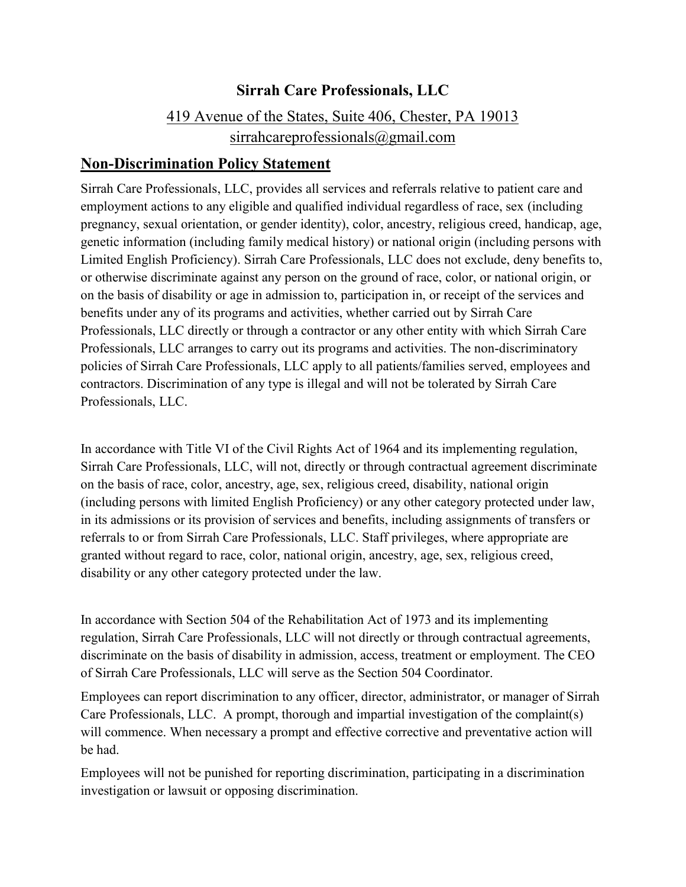## **Sirrah Care Professionals, LLC**

## 419 Avenue of the States, Suite 406, Chester, PA 19013 sirrahcareprofessionals@gmail.com

## **Non-Discrimination Policy Statement**

Sirrah Care Professionals, LLC, provides all services and referrals relative to patient care and employment actions to any eligible and qualified individual regardless of race, sex (including pregnancy, sexual orientation, or gender identity), color, ancestry, religious creed, handicap, age, genetic information (including family medical history) or national origin (including persons with Limited English Proficiency). Sirrah Care Professionals, LLC does not exclude, deny benefits to, or otherwise discriminate against any person on the ground of race, color, or national origin, or on the basis of disability or age in admission to, participation in, or receipt of the services and benefits under any of its programs and activities, whether carried out by Sirrah Care Professionals, LLC directly or through a contractor or any other entity with which Sirrah Care Professionals, LLC arranges to carry out its programs and activities. The non-discriminatory policies of Sirrah Care Professionals, LLC apply to all patients/families served, employees and contractors. Discrimination of any type is illegal and will not be tolerated by Sirrah Care Professionals, LLC.

In accordance with Title VI of the Civil Rights Act of 1964 and its implementing regulation, Sirrah Care Professionals, LLC, will not, directly or through contractual agreement discriminate on the basis of race, color, ancestry, age, sex, religious creed, disability, national origin (including persons with limited English Proficiency) or any other category protected under law, in its admissions or its provision of services and benefits, including assignments of transfers or referrals to or from Sirrah Care Professionals, LLC. Staff privileges, where appropriate are granted without regard to race, color, national origin, ancestry, age, sex, religious creed, disability or any other category protected under the law.

In accordance with Section 504 of the Rehabilitation Act of 1973 and its implementing regulation, Sirrah Care Professionals, LLC will not directly or through contractual agreements, discriminate on the basis of disability in admission, access, treatment or employment. The CEO of Sirrah Care Professionals, LLC will serve as the Section 504 Coordinator.

Employees can report discrimination to any officer, director, administrator, or manager of Sirrah Care Professionals, LLC. A prompt, thorough and impartial investigation of the complaint(s) will commence. When necessary a prompt and effective corrective and preventative action will be had.

Employees will not be punished for reporting discrimination, participating in a discrimination investigation or lawsuit or opposing discrimination.